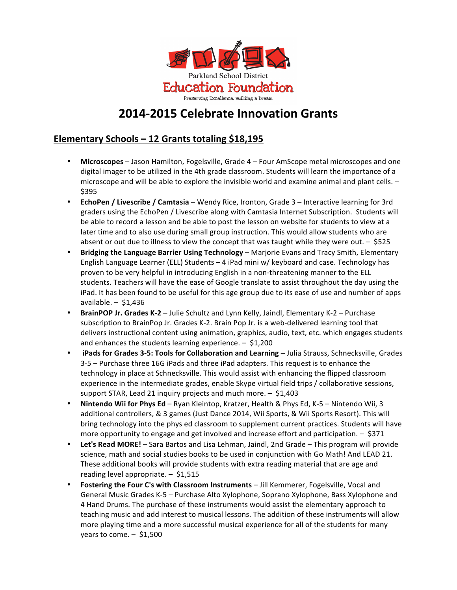

# **2014-2015 Celebrate Innovation Grants**

## **Elementary Schools – 12 Grants totaling \$18,195**

- Microscopes Jason Hamilton, Fogelsville, Grade 4 Four AmScope metal microscopes and one digital imager to be utilized in the 4th grade classroom. Students will learn the importance of a microscope and will be able to explore the invisible world and examine animal and plant cells. -\$395
- **EchoPen / Livescribe / Camtasia** Wendy Rice, Ironton, Grade 3 Interactive learning for 3rd graders using the EchoPen / Livescribe along with Camtasia Internet Subscription. Students will be able to record a lesson and be able to post the lesson on website for students to view at a later time and to also use during small group instruction. This would allow students who are absent or out due to illness to view the concept that was taught while they were out.  $-$  \$525
- **Bridging the Language Barrier Using Technology** Marjorie Evans and Tracy Smith, Elementary English Language Learner (ELL) Students - 4 iPad mini w/ keyboard and case. Technology has proven to be very helpful in introducing English in a non-threatening manner to the ELL students. Teachers will have the ease of Google translate to assist throughout the day using the iPad. It has been found to be useful for this age group due to its ease of use and number of apps available.  $-$  \$1,436
- **BrainPOP Jr. Grades K-2** Julie Schultz and Lynn Kelly, Jaindl, Elementary K-2 Purchase subscription to BrainPop Jr. Grades K-2. Brain Pop Jr. is a web-delivered learning tool that delivers instructional content using animation, graphics, audio, text, etc. which engages students and enhances the students learning experience.  $-$  \$1,200
- **iPads for Grades 3-5: Tools for Collaboration and Learning** Julia Strauss, Schnecksville, Grades 3-5 – Purchase three 16G iPads and three iPad adapters. This request is to enhance the technology in place at Schnecksville. This would assist with enhancing the flipped classroom experience in the intermediate grades, enable Skype virtual field trips / collaborative sessions, support STAR, Lead 21 inquiry projects and much more.  $-$  \$1,403
- **Nintendo Wii for Phys Ed** Ryan Kleintop, Kratzer, Health & Phys Ed, K-5 Nintendo Wii, 3 additional controllers, & 3 games (Just Dance 2014, Wii Sports, & Wii Sports Resort). This will bring technology into the phys ed classroom to supplement current practices. Students will have more opportunity to engage and get involved and increase effort and participation.  $-$  \$371
- **Let's Read MORE!** Sara Bartos and Lisa Lehman, Jaindl, 2nd Grade This program will provide science, math and social studies books to be used in conjunction with Go Math! And LEAD 21. These additional books will provide students with extra reading material that are age and reading level appropriate.  $-$  \$1,515
- **Fostering the Four C's with Classroom Instruments** Jill Kemmerer, Fogelsville, Vocal and General Music Grades K-5 – Purchase Alto Xylophone, Soprano Xylophone, Bass Xylophone and 4 Hand Drums. The purchase of these instruments would assist the elementary approach to teaching music and add interest to musical lessons. The addition of these instruments will allow more playing time and a more successful musical experience for all of the students for many years to come.  $-$  \$1,500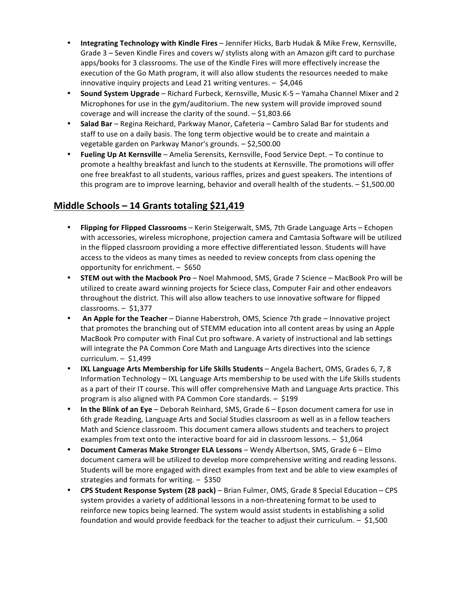- **Integrating Technology with Kindle Fires** Jennifer Hicks, Barb Hudak & Mike Frew, Kernsville, Grade  $3$  – Seven Kindle Fires and covers w/ stylists along with an Amazon gift card to purchase apps/books for 3 classrooms. The use of the Kindle Fires will more effectively increase the execution of the Go Math program, it will also allow students the resources needed to make innovative inquiry projects and Lead 21 writing ventures.  $-$  \$4,046
- **Sound System Upgrade** Richard Furbeck, Kernsville, Music K-5 Yamaha Channel Mixer and 2 Microphones for use in the gym/auditorium. The new system will provide improved sound coverage and will increase the clarity of the sound.  $-$  \$1,803.66
- **Salad Bar** Regina Reichard, Parkway Manor, Cafeteria Cambro Salad Bar for students and staff to use on a daily basis. The long term objective would be to create and maintain a vegetable garden on Parkway Manor's grounds. - \$2,500.00
- **Fueling Up At Kernsville** Amelia Serensits, Kernsville, Food Service Dept. To continue to promote a healthy breakfast and lunch to the students at Kernsville. The promotions will offer one free breakfast to all students, various raffles, prizes and guest speakers. The intentions of this program are to improve learning, behavior and overall health of the students.  $-$  \$1,500.00

#### **Middle Schools – 14 Grants totaling \$21,419**

- **Flipping for Flipped Classrooms** Kerin Steigerwalt, SMS, 7th Grade Language Arts Echopen with accessories, wireless microphone, projection camera and Camtasia Software will be utilized in the flipped classroom providing a more effective differentiated lesson. Students will have access to the videos as many times as needed to review concepts from class opening the opportunity for enrichment.  $-$  \$650
- **STEM out with the Macbook Pro** Noel Mahmood, SMS, Grade 7 Science MacBook Pro will be utilized to create award winning projects for Sciece class, Computer Fair and other endeavors throughout the district. This will also allow teachers to use innovative software for flipped classrooms. – \$1,377
- An Apple for the Teacher Dianne Haberstroh, OMS, Science 7th grade Innovative project that promotes the branching out of STEMM education into all content areas by using an Apple MacBook Pro computer with Final Cut pro software. A variety of instructional and lab settings will integrate the PA Common Core Math and Language Arts directives into the science curriculum. – \$1,499
- **IXL Language Arts Membership for Life Skills Students** Angela Bachert, OMS, Grades 6, 7, 8 Information Technology – IXL Language Arts membership to be used with the Life Skills students as a part of their IT course. This will offer comprehensive Math and Language Arts practice. This program is also aligned with PA Common Core standards.  $-$  \$199
- In the Blink of an Eye Deborah Reinhard, SMS, Grade 6 Epson document camera for use in 6th grade Reading, Language Arts and Social Studies classroom as well as in a fellow teachers Math and Science classroom. This document camera allows students and teachers to project examples from text onto the interactive board for aid in classroom lessons.  $-$  \$1,064
- **Document Cameras Make Stronger ELA Lessons** Wendy Albertson, SMS, Grade 6 Elmo document camera will be utilized to develop more comprehensive writing and reading lessons. Students will be more engaged with direct examples from text and be able to view examples of strategies and formats for writing.  $-$  \$350
- **CPS Student Response System (28 pack)** Brian Fulmer, OMS, Grade 8 Special Education CPS system provides a variety of additional lessons in a non-threatening format to be used to reinforce new topics being learned. The system would assist students in establishing a solid foundation and would provide feedback for the teacher to adjust their curriculum.  $-$  \$1,500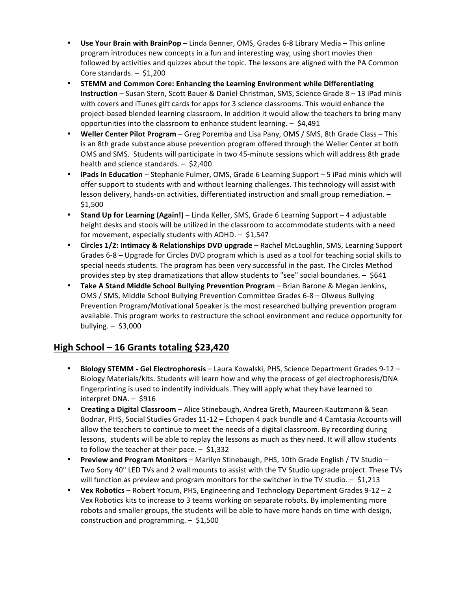- Use Your Brain with BrainPop Linda Benner, OMS, Grades 6-8 Library Media This online program introduces new concepts in a fun and interesting way, using short movies then followed by activities and quizzes about the topic. The lessons are aligned with the PA Common Core standards.  $-$  \$1,200
- STEMM and Common Core: Enhancing the Learning Environment while Differentiating **Instruction** – Susan Stern, Scott Bauer & Daniel Christman, SMS, Science Grade 8 – 13 iPad minis with covers and iTunes gift cards for apps for 3 science classrooms. This would enhance the project-based blended learning classroom. In addition it would allow the teachers to bring many opportunities into the classroom to enhance student learning.  $-$  \$4,491
- Weller Center Pilot Program Greg Poremba and Lisa Pany, OMS / SMS, 8th Grade Class This is an 8th grade substance abuse prevention program offered through the Weller Center at both OMS and SMS. Students will participate in two 45-minute sessions which will address 8th grade health and science standards.  $-$  \$2,400
- **iPads in Education** Stephanie Fulmer, OMS, Grade 6 Learning Support 5 iPad minis which will offer support to students with and without learning challenges. This technology will assist with lesson delivery, hands-on activities, differentiated instruction and small group remediation. -\$1,500
- **Stand Up for Learning (Again!)** Linda Keller, SMS, Grade 6 Learning Support 4 adjustable height desks and stools will be utilized in the classroom to accommodate students with a need for movement, especially students with ADHD.  $-$  \$1,547
- **Circles 1/2: Intimacy & Relationships DVD upgrade** Rachel McLaughlin, SMS, Learning Support Grades 6-8 – Upgrade for Circles DVD program which is used as a tool for teaching social skills to special needs students. The program has been very successful in the past. The Circles Method provides step by step dramatizations that allow students to "see" social boundaries.  $-$  \$641
- **Take A Stand Middle School Bullying Prevention Program** Brian Barone & Megan Jenkins, OMS / SMS, Middle School Bullying Prevention Committee Grades 6-8 – Olweus Bullying Prevention Program/Motivational Speaker is the most researched bullying prevention program available. This program works to restructure the school environment and reduce opportunity for bullying. – \$3,000

## **High School – 16 Grants totaling \$23,420**

- **Biology STEMM Gel Electrophoresis** Laura Kowalski, PHS, Science Department Grades 9-12 Biology Materials/kits. Students will learn how and why the process of gel electrophoresis/DNA fingerprinting is used to indentify individuals. They will apply what they have learned to  $interpret DNA. - $916$
- **Creating a Digital Classroom** Alice Stinebaugh, Andrea Greth, Maureen Kautzmann & Sean Bodnar, PHS, Social Studies Grades 11-12 - Echopen 4 pack bundle and 4 Camtasia Accounts will allow the teachers to continue to meet the needs of a digital classroom. By recording during lessons, students will be able to replay the lessons as much as they need. It will allow students to follow the teacher at their pace.  $-$  \$1,332
- Preview and Program Monitors Marilyn Stinebaugh, PHS, 10th Grade English / TV Studio Two Sony 40" LED TVs and 2 wall mounts to assist with the TV Studio upgrade project. These TVs will function as preview and program monitors for the switcher in the TV studio.  $-$  \$1,213
- Vex Robotics Robert Yocum, PHS, Engineering and Technology Department Grades 9-12 2 Vex Robotics kits to increase to 3 teams working on separate robots. By implementing more robots and smaller groups, the students will be able to have more hands on time with design, construction and programming.  $-$  \$1,500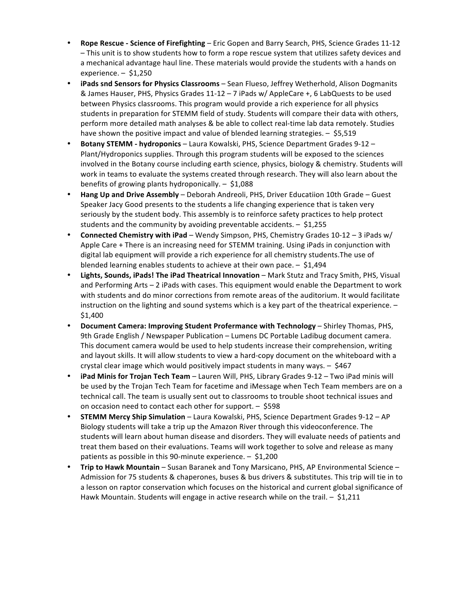- **Rope Rescue Science of Firefighting** Eric Gopen and Barry Search, PHS, Science Grades 11-12 - This unit is to show students how to form a rope rescue system that utilizes safety devices and a mechanical advantage haul line. These materials would provide the students with a hands on experience. – \$1,250
- **iPads snd Sensors for Physics Classrooms** Sean Flueso, Jeffrey Wetherhold, Alison Dogmanits & James Hauser, PHS, Physics Grades 11-12 - 7 iPads w/ AppleCare +, 6 LabQuests to be used between Physics classrooms. This program would provide a rich experience for all physics students in preparation for STEMM field of study. Students will compare their data with others, perform more detailed math analyses & be able to collect real-time lab data remotely. Studies have shown the positive impact and value of blended learning strategies.  $-$  \$5,519
- **Botany STEMM hydroponics** Laura Kowalski, PHS, Science Department Grades 9-12 Plant/Hydroponics supplies. Through this program students will be exposed to the sciences involved in the Botany course including earth science, physics, biology & chemistry. Students will work in teams to evaluate the systems created through research. They will also learn about the benefits of growing plants hydroponically.  $-$  \$1,088
- **Hang Up and Drive Assembly** Deborah Andreoli, PHS, Driver Educatiion 10th Grade Guest Speaker Jacy Good presents to the students a life changing experience that is taken very seriously by the student body. This assembly is to reinforce safety practices to help protect students and the community by avoiding preventable accidents.  $-$  \$1,255
- **Connected Chemistry with iPad** Wendy Simpson, PHS, Chemistry Grades 10-12 3 iPads w/ Apple Care + There is an increasing need for STEMM training. Using iPads in conjunction with digital lab equipment will provide a rich experience for all chemistry students. The use of blended learning enables students to achieve at their own pace.  $-$  \$1,494
- **Lights, Sounds, iPads! The iPad Theatrical Innovation** Mark Stutz and Tracy Smith, PHS, Visual and Performing Arts  $-2$  iPads with cases. This equipment would enable the Department to work with students and do minor corrections from remote areas of the auditorium. It would facilitate instruction on the lighting and sound systems which is a key part of the theatrical experience. -\$1,400
- **Document Camera: Improving Student Profermance with Technology Shirley Thomas, PHS,** 9th Grade English / Newspaper Publication – Lumens DC Portable Ladibug document camera. This document camera would be used to help students increase their comprehension, writing and layout skills. It will allow students to view a hard-copy document on the whiteboard with a crystal clear image which would positively impact students in many ways.  $-$  \$467
- **iPad Minis for Trojan Tech Team** Lauren Will, PHS, Library Grades 9-12 Two iPad minis will be used by the Trojan Tech Team for facetime and iMessage when Tech Team members are on a technical call. The team is usually sent out to classrooms to trouble shoot technical issues and on occasion need to contact each other for support.  $-$  \$598
- **STEMM Mercy Ship Simulation** Laura Kowalski, PHS, Science Department Grades 9-12 AP Biology students will take a trip up the Amazon River through this videoconference. The students will learn about human disease and disorders. They will evaluate needs of patients and treat them based on their evaluations. Teams will work together to solve and release as many patients as possible in this 90-minute experience.  $-$  \$1,200
- **Trip to Hawk Mountain** Susan Baranek and Tony Marsicano, PHS, AP Environmental Science Admission for 75 students & chaperones, buses & bus drivers & substitutes. This trip will tie in to a lesson on raptor conservation which focuses on the historical and current global significance of Hawk Mountain. Students will engage in active research while on the trail.  $-$  \$1,211